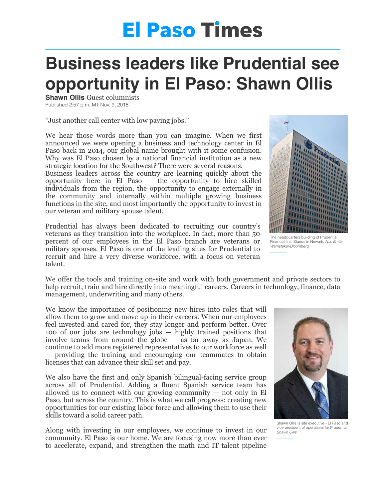## **El Paso Times**

## **Business leaders like Prudential see opportunity in El Paso: Shawn Ollis**

**Shawn Ollis Guest columnists** Published 2:57 p.m. MT Nov. 9, 2018

"Just another call center with low paying jobs."

We hear those words more than you can imagine. When we first announced we were opening a business and technology center in El Paso back in 2014, our global name brought with it some confusion. Why was El Paso chosen by a national financial institution as a new strategic location for the Southwest? There were several reasons.

Business leaders across the country are learning quickly about the opportunity here in El Paso — the opportunity to hire skilled individuals from the region, the opportunity to engage externally in the community and internally within multiple growing business functions in the site, and most importantly the opportunity to invest in our veteran and military spouse talent.

Prudential has always been dedicated to recruiting our country's veterans as they transition into the workplace. In fact, more than 50 percent of our employees in the El Paso branch are veterans or military spouses. El Paso is one of the leading sites for Prudential to recruit and hire a very diverse workforce, with a focus on veteran talent.



The headquarters building of Prudential Financial Ins. Stands in Newark, *N.J. Emile Wamsteker/Bloomberg* 

We offer the tools and training on-site and work with both government and private sectors to help recruit, train and hire directly into meaningful careers. Careers in technology, finance, data management, underwriting and many others.

We know the importance of positioning new hires into roles that will allow them to grow and move up in their careers. When our employees feel invested and cared for, they stay longer and perform better. Over 100 of our jobs are technology jobs — highly trained positions that involve teams from around the globe — as far away as Japan. We continue to add more registered representatives to our workforce as well — providing the training and encouraging our teammates to obtain licenses that can advance their skill set and pay.

We also have the first and only Spanish bilingual-facing service group across all of Prudential. Adding a fluent Spanish service team has allowed us to connect with our growing community  $-$  not only in El Paso, but across the country. This is what we call progress: creating new opportunities for our existing labor force and allowing them to use their skills toward a solid career path.

Along with investing in our employees, we continue to invest in our community. El Paso is our home. We are focusing now more than ever to accelerate, expand, and strengthen the math and IT talent pipeline



Shawn Ollis is site executive - El Paso and vice president of operations for Prudential. *Shawn Ollis*